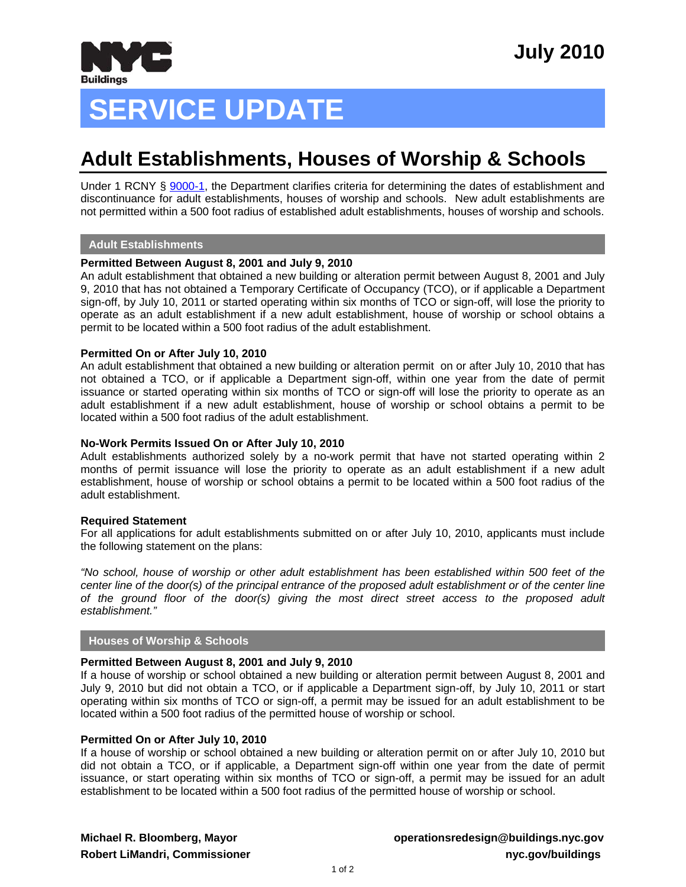

# **SERVICE UPDATE**

# **Adult Establishments, Houses of Worship & Schools**

Under 1 RCNY § [9000-1,](http://www1.nyc.gov/assets/buildings/rules/1_RCNY_9000-01.pdf) the Department clarifies criteria for determining the dates of establishment and discontinuance for adult establishments, houses of worship and schools. New adult establishments are not permitted within a 500 foot radius of established adult establishments, houses of worship and schools.

#### **Adult Establishments**

### **Permitted Between August 8, 2001 and July 9, 2010**

An adult establishment that obtained a new building or alteration permit between August 8, 2001 and July 9, 2010 that has not obtained a Temporary Certificate of Occupancy (TCO), or if applicable a Department sign-off, by July 10, 2011 or started operating within six months of TCO or sign-off, will lose the priority to operate as an adult establishment if a new adult establishment, house of worship or school obtains a permit to be located within a 500 foot radius of the adult establishment.

#### **Permitted On or After July 10, 2010**

An adult establishment that obtained a new building or alteration permit on or after July 10, 2010 that has not obtained a TCO, or if applicable a Department sign-off, within one year from the date of permit issuance or started operating within six months of TCO or sign-off will lose the priority to operate as an adult establishment if a new adult establishment, house of worship or school obtains a permit to be located within a 500 foot radius of the adult establishment.

#### **No-Work Permits Issued On or After July 10, 2010**

Adult establishments authorized solely by a no-work permit that have not started operating within 2 months of permit issuance will lose the priority to operate as an adult establishment if a new adult establishment, house of worship or school obtains a permit to be located within a 500 foot radius of the adult establishment.

#### **Required Statement**

For all applications for adult establishments submitted on or after July 10, 2010, applicants must include the following statement on the plans:

*"No school, house of worship or other adult establishment has been established within 500 feet of the center line of the door(s) of the principal entrance of the proposed adult establishment or of the center line of the ground floor of the door(s) giving the most direct street access to the proposed adult establishment."* 

### **Houses of Worship & Schools**

#### **Permitted Between August 8, 2001 and July 9, 2010**

If a house of worship or school obtained a new building or alteration permit between August 8, 2001 and July 9, 2010 but did not obtain a TCO, or if applicable a Department sign-off, by July 10, 2011 or start operating within six months of TCO or sign-off, a permit may be issued for an adult establishment to be located within a 500 foot radius of the permitted house of worship or school.

#### **Permitted On or After July 10, 2010**

If a house of worship or school obtained a new building or alteration permit on or after July 10, 2010 but did not obtain a TCO, or if applicable, a Department sign-off within one year from the date of permit issuance, or start operating within six months of TCO or sign-off, a permit may be issued for an adult establishment to be located within a 500 foot radius of the permitted house of worship or school.